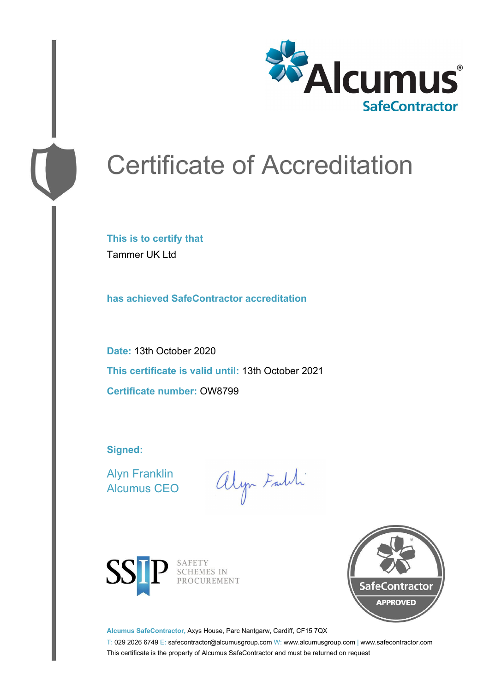

# Certificate of Accreditation

**This is to certify that** Tammer UK Ltd

**has achieved SafeContractor accreditation**

**Date:** 13th October 2020 **This certificate is valid until:** 13th October 2021 **Certificate number:** OW8799

**Signed:**

Alyn Franklin Alcumus CEO

alyn Faith



SAFETY SCHEMES IN PROCUREMENT



**Alcumus SafeContractor,** Axys House, Parc Nantgarw, Cardiff, CF15 7QX

T: 029 2026 6749 E: safecontractor@alcumusgroup.com W: www.alcumusgroup.com | www.safecontractor.com This certificate is the property of Alcumus SafeContractor and must be returned on request